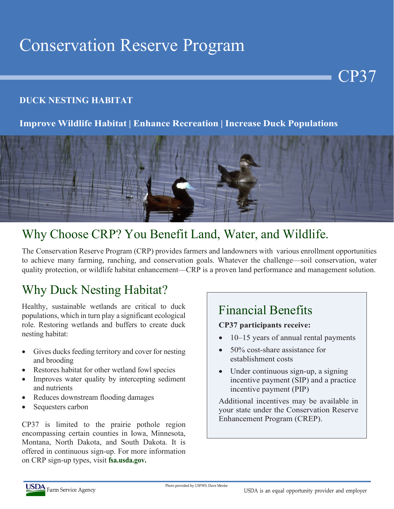# Conservation Reserve Program

#### **DUCK NESTING HABITAT**

#### **Improve Wildlife Habitat | Enhance Recreation | Increase Duck Populations**



### Why Choose CRP? You Benefit Land, Water, and Wildlife.

The Conservation Reserve Program (CRP) provides farmers and landowners with various enrollment opportunities to achieve many farming, ranching, and conservation goals. Whatever the challenge—soil conservation, water quality protection, or wildlife habitat enhancement—CRP is a proven land performance and management solution.

# Why Duck Nesting Habitat?

Healthy, sustainable wetlands are critical to duck populations, which in turn play a significant ecological role. Restoring wetlands and buffers to create duck nesting habitat:

- Gives ducks feeding territory and cover for nesting and brooding
- Restores habitat for other wetland fowl species
- Improves water quality by intercepting sediment and nutrients
- Reduces downstream flooding damages
- Sequesters carbon

CP37 is limited to the prairie pothole region encompassing certain counties in Iowa, Minnesota, Montana, North Dakota, and South Dakota. It is offered in continuous sign-up. For more information on CRP sign-up types, visit **fsa.usda.gov.**

#### Financial Benefits

#### **CP37 participants receive:**

• 10–15 years of annual rental payments

CP37

- 50% cost-share assistance for establishment costs
- Under continuous sign-up, a signing incentive payment (SIP) and a practice incentive payment (PIP)

Additional incentives may be available in your state under the Conservation Reserve Enhancement Program (CREP).